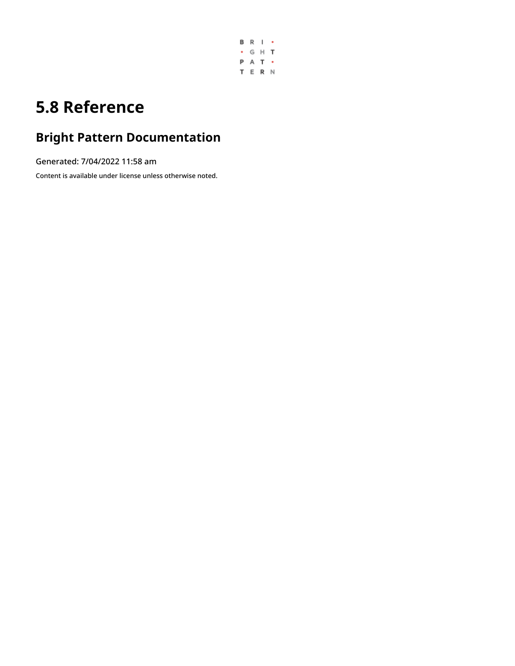

# **5.8 Reference**

# **Bright Pattern Documentation**

Generated: 7/04/2022 11:58 am

Content is available under license unless otherwise noted.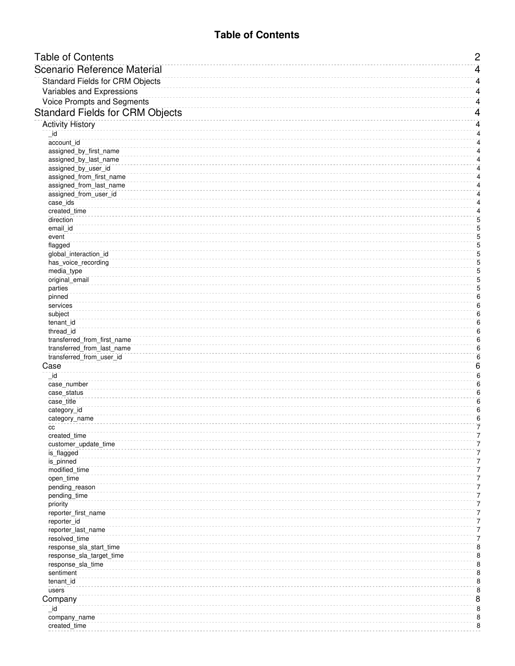# **Table of Contents**

<span id="page-1-0"></span>

| <b>Table of Contents</b>                        | $\overline{c}$          |
|-------------------------------------------------|-------------------------|
| <b>Scenario Reference Material</b>              | 4                       |
| <b>Standard Fields for CRM Objects</b>          | 4                       |
| Variables and Expressions                       | 4                       |
| <b>Voice Prompts and Segments</b>               | 4                       |
|                                                 |                         |
| <b>Standard Fields for CRM Objects</b>          | 4                       |
| <b>Activity History</b>                         | 4                       |
| _id                                             | $\overline{\mathbf{4}}$ |
| account id                                      | 4                       |
| assigned_by_first_name<br>assigned_by_last_name | 4<br>4                  |
| assigned_by_user_id                             | 4                       |
| assigned_from_first_name                        | 4                       |
| assigned_from_last_name                         | 4                       |
| assigned_from_user_id                           | 4                       |
| case_ids                                        | 4                       |
| created_time                                    | $\overline{\mathbf{4}}$ |
| direction                                       | 5                       |
| email id                                        | 5<br>5                  |
| event<br>flagged                                | $\overline{5}$          |
| global_interaction_id                           | 5                       |
| has_voice_recording                             | 5                       |
| media_type                                      | 5                       |
| original_email                                  | 5                       |
| parties                                         | 5                       |
| pinned                                          | $6\phantom{1}6$         |
| services                                        | $6\phantom{1}6$<br>6    |
| subject<br>tenant_id                            | $\overline{6}$          |
| thread_id                                       | $\overline{6}$          |
| transferred_from_first_name                     | $\overline{6}$          |
| transferred_from_last_name                      | $\boldsymbol{6}$        |
| transferred_from_user_id                        | $\boldsymbol{6}$        |
| Case                                            | 6                       |
| _id                                             | $\overline{6}$          |
| case_number                                     | 6                       |
| case_status                                     | $6\phantom{1}6$         |
| case_title<br>category_id                       | 6<br>$\overline{6}$     |
| category_name                                   | $\overline{6}$          |
| cc                                              | 7                       |
| created_time                                    | 7                       |
| customer_update_time                            | 7                       |
| is_flagged                                      | 7                       |
| is_pinned                                       | 7                       |
| modified_time                                   | 7<br>7                  |
| open_time<br>pending_reason                     | 7                       |
| pending_time                                    | 7                       |
| priority                                        | 7                       |
| reporter_first_name                             | 7                       |
| reporter_id                                     | 7                       |
| reporter_last_name                              | 7                       |
| resolved_time                                   | 7                       |
| response_sla_start_time                         | 8                       |
| response_sla_target_time                        | 8<br>$\overline{8}$     |
| response_sla_time<br>sentiment                  | 8                       |
| tenant_id                                       | 8                       |
| users                                           | 8                       |
| Company                                         | $\overline{8}$          |
| _id                                             | 8                       |
| company_name                                    | 8                       |
| created_time                                    | 8                       |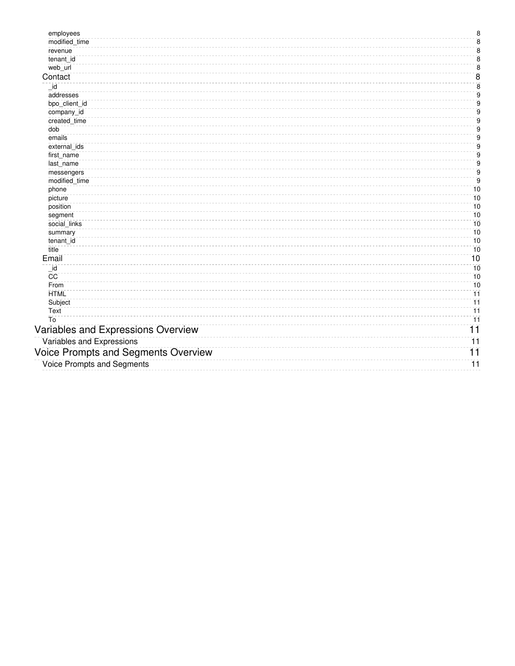| employees                           | $\bf8$                |
|-------------------------------------|-----------------------|
| modified_time                       | $\overline{\bf 8}$    |
| revenue                             | $\bf 8$               |
| tenant id                           | $\bf 8$               |
| web_url                             | $\bar{8}$             |
| Contact                             | $\overline{8}$        |
| id                                  | $\overline{\bf 8}$    |
| addresses                           | $\overline{9}$        |
| bpo_client_id                       | $\overline{9}$        |
| company_id                          | $9\,$                 |
| created_time                        | $\mathsf g$           |
| dob                                 | $\mathsf g$           |
| emails                              | $9\,$                 |
| external_ids                        | $\overline{9}$        |
| first_name                          | $\overline{9}$        |
| last_name                           | $\overline{9}$        |
| messengers                          | $\overline{9}$        |
| modified_time                       | $9$                   |
| phone                               | 10                    |
| picture                             | 10                    |
| position                            | 10                    |
| segment                             | 10                    |
| social_links                        | 10                    |
| summary                             | 10                    |
| tenant_id                           | 10<br>10              |
| title                               |                       |
| Email                               | 10                    |
| $\_id$                              | 10                    |
| CC                                  | 10                    |
| From                                | 10                    |
| <b>HTML</b>                         | $\overline{11}$       |
| Subject                             | $\overline{11}$       |
| Text<br>To                          | $\overline{11}$<br>11 |
|                                     |                       |
| Variables and Expressions Overview  | $\overline{11}$       |
| Variables and Expressions           | $\overline{11}$       |
| Voice Prompts and Segments Overview | 11                    |
| <b>Voice Prompts and Segments</b>   | $\overline{11}$       |
|                                     |                       |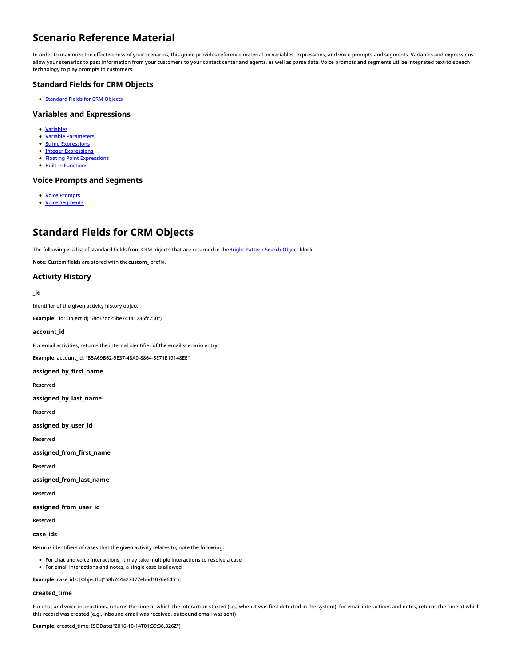# <span id="page-3-0"></span>**Scenario Reference Material**

In order to maximize the effectiveness of your scenarios, this guide provides reference material on variables, expressions, and voice prompts and segments. Variables and expressions allow your scenarios to pass information from your customers to your contact center and agents, as well as parse data. Voice prompts and segments utilize integrated text-to-speech technology to play prompts to customers.

# <span id="page-3-1"></span>**Standard Fields for CRM Objects**

**[Standard](https://help.brightpattern.com/5.8:Scenario-builder-reference-guide/Reference/?action=html-localimages-export#topic_scenario-builder-reference-guide.2Freference.2Fcrmobjectsfields) Fields for CRM Objects** 

# <span id="page-3-2"></span>**Variables and Expressions**

- [Variables](https://help.brightpattern.com/5.8:Scenario-builder-reference-guide/Reference/?action=html-localimages-export#topic_scenario-builder-reference-guide.2Freference.2Fvariablesandexpressions.2Fvariables)
- Variable [Parameters](https://help.brightpattern.com/5.8:Scenario-builder-reference-guide/Reference/?action=html-localimages-export#topic_scenario-builder-reference-guide.2Freference.2Fvariablesandexpressions.2Fvariableparameters)
- **String [Expressions](https://help.brightpattern.com/5.8:Scenario-builder-reference-guide/Reference/?action=html-localimages-export#topic_scenario-builder-reference-guide.2Freference.2Fvariablesandexpressions.2Fstringexpressions)**
- Integer [Expressions](https://help.brightpattern.com/5.8:Scenario-builder-reference-guide/Reference/?action=html-localimages-export#topic_scenario-builder-reference-guide.2Freference.2Fvariablesandexpressions.2Fintegerexpressions)
- Floating Point [Expressions](https://help.brightpattern.com/5.8:Scenario-builder-reference-guide/Reference/?action=html-localimages-export#topic_scenario-builder-reference-guide.2Freference.2Fvariablesandexpressions.2Ffloatingpointexpressions)
- Built-in [Functions](https://help.brightpattern.com/5.8:Scenario-builder-reference-guide/Reference/?action=html-localimages-export#topic_scenario-builder-reference-guide.2Freference.2Fvariablesandexpressions.2Fbuilt-infunctions)

# <span id="page-3-3"></span>**Voice Prompts and Segments**

- Voice [Prompts](https://help.brightpattern.com/5.8:Scenario-builder-reference-guide/Reference/?action=html-localimages-export#topic_scenario-builder-reference-guide.2Freference.2Fvoicepromptsandsegments.2Fvoiceprompts)
- Voice [Segments](https://help.brightpattern.com/5.8:Scenario-builder-reference-guide/Reference/?action=html-localimages-export#topic_scenario-builder-reference-guide.2Freference.2Fvoicepromptsandsegments.2Fvoicesegmenttypes)

# <span id="page-3-4"></span>**Standard Fields for CRM Objects**

The following is a list of standard fields from CRM objects that are returned in theBright [Pattern](https://help.brightpattern.com/5.8:Scenario-builder-reference-guide/Reference/?action=html-localimages-export#topic_scenario-builder-reference-guide.2Fscenarioblocks.2Fbrightpatternsearchobject) Search Object block.

**Note**: Custom fields are stored with the**custom\_** prefix.

# <span id="page-3-5"></span>**Activity History**

#### <span id="page-3-6"></span>**\_id**

Identifier of the given activity history object

**Example**: \_id: ObjectId("58c37dc25be74141236fc250")

#### <span id="page-3-7"></span>**account\_id**

For email activities, returns the internal identifier of the email scenario entry

**Example**: account\_id: "B5A69B62-9E37-48A0-8864-5E71E19148EE"

#### <span id="page-3-8"></span>**assigned\_by\_first\_name**

Reserved

<span id="page-3-9"></span>**assigned\_by\_last\_name**

Reserved

<span id="page-3-10"></span>**assigned\_by\_user\_id**

Reserved

<span id="page-3-11"></span>**assigned\_from\_first\_name**

Reserved

<span id="page-3-12"></span>**assigned\_from\_last\_name**

Reserved

#### <span id="page-3-13"></span>**assigned\_from\_user\_id**

Reserved

#### <span id="page-3-14"></span>**case\_ids**

Returns identifiers of cases that the given activity relates to; note the following:

- For chat and voice interactions, it may take multiple interactions to resolve a case
- For email interactions and notes, a single case is allowed

**Example**: case\_ids: [ObjectId("58b744a27477eb6d1076e645")]

#### <span id="page-3-15"></span>**created\_time**

For chat and voice interactions, returns the time at which the interaction started (i.e., when it was first detected in the system); for email interactions and notes, returns the time at which this record was created (e.g., inbound email was received, outbound email was sent)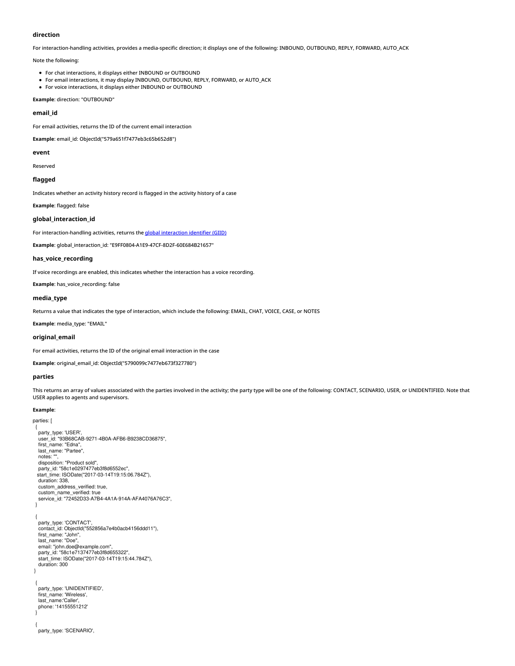#### <span id="page-4-0"></span>**direction**

For interaction-handling activities, provides a media-specific direction; it displays one of the following: INBOUND, OUTBOUND, REPLY, FORWARD, AUTO\_ACK

Note the following:

- For chat interactions, it displays either INBOUND or OUTBOUND
- For email interactions, it may display INBOUND, OUTBOUND, REPLY, FORWARD, or AUTO\_ACK
- For voice interactions, it displays either INBOUND or OUTBOUND

**Example**: direction: "OUTBOUND"

#### <span id="page-4-1"></span>**email\_id**

For email activities, returns the ID of the current email interaction

**Example**: email\_id: ObjectId("579a651f7477eb3c65b652d8")

#### <span id="page-4-2"></span>**event**

Reserved

## <span id="page-4-3"></span>**flagged**

Indicates whether an activity history record is flagged in the activity history of a case

#### **Example**: flagged: false

#### <span id="page-4-4"></span>**global\_interaction\_id**

For [interaction](https://help.brightpattern.com/5.8:Scenario-builder-reference-guide/Reference/?action=html-localimages-export#topic_reporting-reference-guide.2Fglobalinteractionidentifier)-handling activities, returns the global interaction identifier (GIID)

**Example**: global\_interaction\_id: "E9FF0804-A1E9-47CF-8D2F-60E684B21657"

#### <span id="page-4-5"></span>**has\_voice\_recording**

If voice recordings are enabled, this indicates whether the interaction has a voice recording.

**Example**: has\_voice\_recording: false

#### <span id="page-4-6"></span>**media\_type**

Returns a value that indicates the type of interaction, which include the following: EMAIL, CHAT, VOICE, CASE, or NOTES

**Example**: media\_type: "EMAIL"

#### <span id="page-4-7"></span>**original\_email**

For email activities, returns the ID of the original email interaction in the case

**Example**: original\_email\_id: ObjectId("5790099c7477eb673f327780")

#### <span id="page-4-8"></span>**parties**

This returns an array of values associated with the parties involved in the activity; the party type will be one of the following: CONTACT, SCENARIO, USER, or UNIDENTIFIED. Note that USER applies to agents and supervisors.

#### **Example**:

parties: [

{ party\_type: 'USER', user\_id: "93B68CAB-9271-4B0A-AFB6-B9238CD36875", first\_name: "Edna", last\_name: "Partee", notes: "", disposition: "Product sold", party\_id: "58c1e0297477eb3f8d6552ec", start\_time: ISODate("2017-03-14T19:15:06.784Z"), duration: 338, custom\_address\_verified: true, custom\_name\_verified: true service\_id: "72452D33-A7B4-4A1A-914A-AFA4076A76C3", } { party\_type: 'CONTACT', contact\_id: ObjectId("552856a7e4b0acb4156ddd11"), first\_name: "John", last\_name: "Doe", email: "john.doe@example.com", party\_id: "58c1e7137477eb3f8d655322", start\_time: ISODate("2017-03-14T19:15:44.784Z"), duration: 300 } { party\_type: 'UNIDENTIFIED', first\_name: 'Wireless', last\_name:'Caller', phone: '14155551212' } { party\_type: 'SCENARIO',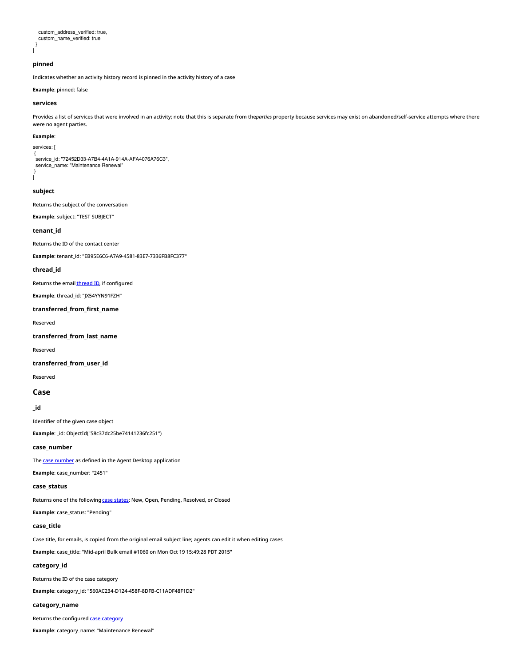```
custom_address_verified: true,
  custom_name_verified: true
 }
]
```
# <span id="page-5-0"></span>**pinned**

Indicates whether an activity history record is pinned in the activity history of a case

**Example**: pinned: false

#### <span id="page-5-1"></span>**services**

Provides a list of services that were involved in an activity; note that this is separate from the*parties* property because services may exist on abandoned/self-service attempts where there were no agent parties.

#### **Example**:

services: |

{ service\_id: "72452D33-A7B4-4A1A-914A-AFA4076A76C3", service\_name: "Maintenance Renewal" }

# <span id="page-5-2"></span>**subject**

]

Returns the subject of the conversation

**Example**: subject: "TEST SUBJECT"

<span id="page-5-3"></span>**tenant\_id**

Returns the ID of the contact center

**Example**: tenant\_id: "EB95E6C6-A7A9-4581-83E7-7336FB8FC377"

#### <span id="page-5-4"></span>**thread\_id**

Returns the email **[thread](https://help.brightpattern.com/5.8:Agent-guide/Work/CasesEmail/CasesEmailandThreads#Threads) ID**, if configured

**Example**: thread\_id: "JX54YYN91FZH"

# <span id="page-5-5"></span>**transferred\_from\_first\_name**

Reserved

<span id="page-5-6"></span>**transferred\_from\_last\_name**

Reserved

#### <span id="page-5-7"></span>**transferred\_from\_user\_id**

Reserved

#### <span id="page-5-8"></span>**Case**

# <span id="page-5-9"></span>**\_id**

Identifier of the given case object

**Example**: \_id: ObjectId("58c37dc25be74141236fc251")

## <span id="page-5-10"></span>**case\_number**

The **case [number](https://help.brightpattern.com/5.8:Agent-guide/Work/CasesEmail/MyCasesInterface#Case_number)** as defined in the Agent Desktop application

**Example**: case\_number: "2451"

# <span id="page-5-11"></span>**case\_status**

Returns one of the following **case [states](https://help.brightpattern.com/5.8:Scenario-builder-reference-guide/Reference/?action=html-localimages-export#topic_agent-guide.2Fwork.2Fcasesemail.2Fcasestates):** New, Open, Pending, Resolved, or Closed

**Example**: case\_status: "Pending"

# <span id="page-5-12"></span>**case\_title**

Case title, for emails, is copied from the original email subject line; agents can edit it when editing cases

**Example**: case\_title: "Mid-april Bulk email #1060 on Mon Oct 19 15:49:28 PDT 2015"

# <span id="page-5-13"></span>**category\_id**

Returns the ID of the case category

**Example**: category\_id: "560AC234-D124-458F-8DFB-C11ADF48F1D2"

# <span id="page-5-14"></span>**category\_name**

Returns the configured case [category](https://help.brightpattern.com/5.8:Scenario-builder-reference-guide/Reference/?action=html-localimages-export#topic_contact-center-administrator-guide.2Fcaseandcontactmanagement.2Fcasecategories)

**Example**: category\_name: "Maintenance Renewal"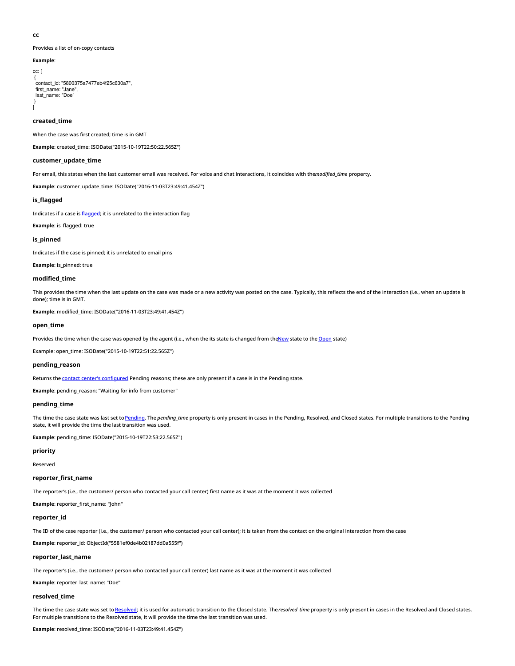#### <span id="page-6-0"></span>**cc**

]

Provides a list of on-copy contacts

```
Example:
cc: [
 {
contact_id: "5800375a7477eb4f25c630a7",
  first_name: "Jane",
last_name: "Doe"
 }
```
#### <span id="page-6-1"></span>**created\_time**

When the case was first created; time is in GMT

**Example**: created\_time: ISODate("2015-10-19T22:50:22.565Z")

#### <span id="page-6-2"></span>**customer\_update\_time**

For email, this states when the last customer email was received. For voice and chat interactions, it coincides with the*modified time* property.

**Example**: customer\_update\_time: ISODate("2016-11-03T23:49:41.454Z")

## <span id="page-6-3"></span>**is\_flagged**

Indicates if a case is *[flagged](https://help.brightpattern.com/5.8:Agent-guide/Work/CasesEmail/MyCasesInterface#Flag)*; it is unrelated to the interaction flag

**Example**: is\_flagged: true

#### <span id="page-6-4"></span>**is\_pinned**

Indicates if the case is pinned; it is unrelated to email pins

**Example**: is\_pinned: true

#### <span id="page-6-5"></span>**modified\_time**

This provides the time when the last update on the case was made or a new activity was posted on the case. Typically, this reflects the end of the interaction (i.e., when an update is done); time is in GMT.

**Example**: modified\_time: ISODate("2016-11-03T23:49:41.454Z")

#### <span id="page-6-6"></span>**open\_time**

Provides the time when the case was opened by the agent (i.e., when the its state is changed from th[eNew](https://help.brightpattern.com/5.8:Scenario-builder-reference-guide/Reference/?action=html-localimages-export#topic_agent-guide.2Fwork.2Fcasesemail.2Fcasestates) state to the [Open](https://help.brightpattern.com/5.8:Agent-guide/Work/CasesEmail/CaseStates#Open) state)

Example: open\_time: ISODate("2015-10-19T22:51:22.565Z")

#### <span id="page-6-7"></span>**pending\_reason**

Returns the **contact center's [configured](https://help.brightpattern.com/5.8:Scenario-builder-reference-guide/Reference/?action=html-localimages-export#topic_contact-center-administrator-guide.2Fcaseandcontactmanagement.2Fcasependingreasons)** Pending reasons; these are only present if a case is in the Pending state.

**Example**: pending\_reason: "Waiting for info from customer"

#### <span id="page-6-8"></span>**pending\_time**

The time the case state was last set to [Pending](https://help.brightpattern.com/5.8:Agent-guide/Work/CasesEmail/CaseStates#Pending). The *pending\_time* property is only present in cases in the Pending, Resolved, and Closed states. For multiple transitions to the Pending state, it will provide the time the last transition was used.

**Example**: pending\_time: ISODate("2015-10-19T22:53:22.565Z")

# <span id="page-6-9"></span>**priority**

Reserved

#### <span id="page-6-10"></span>**reporter\_first\_name**

The reporter's (i.e., the customer/ person who contacted your call center) first name as it was at the moment it was collected

**Example**: reporter\_first\_name: "John"

#### <span id="page-6-11"></span>**reporter\_id**

The ID of the case reporter (i.e., the customer/ person who contacted your call center); it is taken from the contact on the original interaction from the case

**Example**: reporter\_id: ObjectId("5581ef0de4b02187dd0a555f")

#### <span id="page-6-12"></span>**reporter\_last\_name**

The reporter's (i.e., the customer/ person who contacted your call center) last name as it was at the moment it was collected

**Example**: reporter\_last\_name: "Doe"

#### <span id="page-6-13"></span>**resolved\_time**

The time the case state was set to [Resolved](https://help.brightpattern.com/5.8:Agent-guide/Work/CasesEmail/CaseStates#Resolved); it is used for automatic transition to the Closed state. The*resolved\_time* property is only present in cases in the Resolved and Closed states. For multiple transitions to the Resolved state, it will provide the time the last transition was used.

**Example**: resolved\_time: ISODate("2016-11-03T23:49:41.454Z")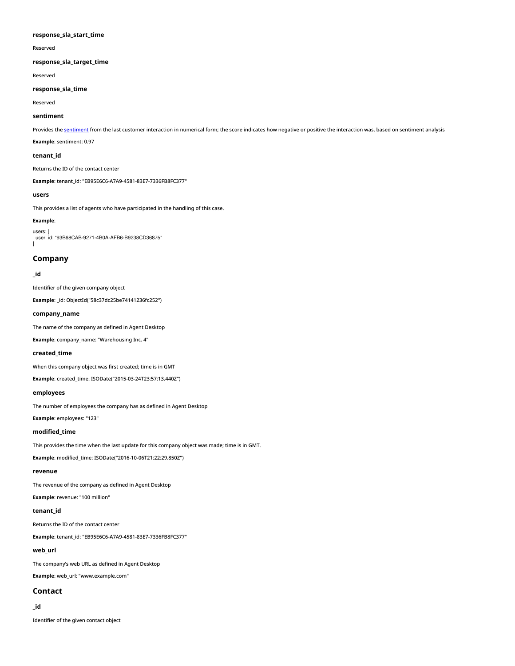#### <span id="page-7-0"></span>**response\_sla\_start\_time**

Reserved

# <span id="page-7-1"></span>**response\_sla\_target\_time**

Reserved

# <span id="page-7-2"></span>**response\_sla\_time**

Reserved

#### <span id="page-7-3"></span>**sentiment**

Provides the [sentiment](https://help.brightpattern.com/5.8:Reporting-reference-guide/ListofInteractionRecordsSearchCriteria#sentiment_as_float_.2A) from the last customer interaction in numerical form; the score indicates how negative or positive the interaction was, based on sentiment analysis

**Example**: sentiment: 0.97

#### <span id="page-7-4"></span>**tenant\_id**

Returns the ID of the contact center

**Example**: tenant\_id: "EB95E6C6-A7A9-4581-83E7-7336FB8FC377"

#### <span id="page-7-5"></span>**users**

This provides a list of agents who have participated in the handling of this case.

# **Example**:

users: user\_id: "93B68CAB-9271-4B0A-AFB6-B9238CD36875"  $\overline{1}$ 

# <span id="page-7-6"></span>**Company**

#### <span id="page-7-7"></span>**\_id**

Identifier of the given company object

**Example**: \_id: ObjectId("58c37dc25be74141236fc252")

### <span id="page-7-8"></span>**company\_name**

The name of the company as defined in Agent Desktop

**Example**: company\_name: "Warehousing Inc. 4"

# <span id="page-7-9"></span>**created\_time**

When this company object was first created; time is in GMT

**Example**: created\_time: ISODate("2015-03-24T23:57:13.440Z")

# <span id="page-7-10"></span>**employees**

The number of employees the company has as defined in Agent Desktop

**Example**: employees: "123"

## <span id="page-7-11"></span>**modified\_time**

This provides the time when the last update for this company object was made; time is in GMT.

**Example**: modified\_time: ISODate("2016-10-06T21:22:29.850Z")

# <span id="page-7-12"></span>**revenue**

The revenue of the company as defined in Agent Desktop

**Example**: revenue: "100 million"

# <span id="page-7-13"></span>**tenant\_id**

Returns the ID of the contact center

**Example**: tenant\_id: "EB95E6C6-A7A9-4581-83E7-7336FB8FC377"

# <span id="page-7-14"></span>**web\_url**

The company's web URL as defined in Agent Desktop

**Example**: web\_url: "www.example.com"

# <span id="page-7-15"></span>**Contact**

<span id="page-7-16"></span>**\_id**

Identifier of the given contact object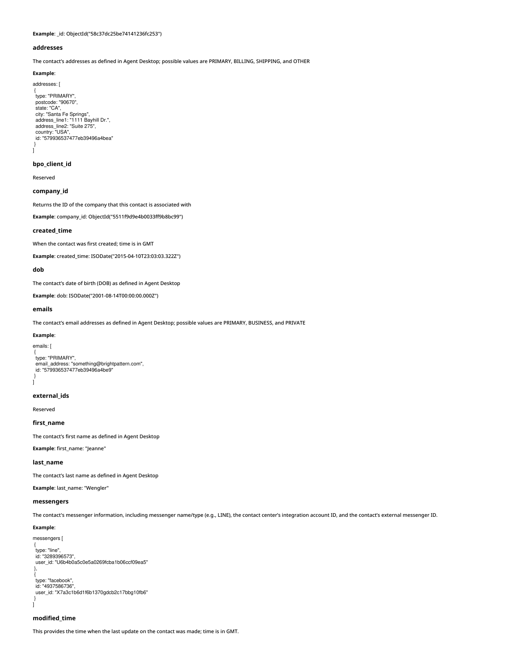**Example**: \_id: ObjectId("58c37dc25be74141236fc253")

#### <span id="page-8-0"></span>**addresses**

The contact's addresses as defined in Agent Desktop; possible values are PRIMARY, BILLING, SHIPPING, and OTHER

#### **Example**:

addresses: [

```
{
type: "PRIMARY",
postcode: "90670",
  state: "CA",
city: "Santa Fe Springs",
address_line1: "1111 Bayhill Dr.",
address_line2: "Suite 275",
  country: "USA",
id: "579936537477eb39496a4bea"
}
]
```
# <span id="page-8-1"></span>**bpo\_client\_id**

Reserved

# <span id="page-8-2"></span>**company\_id**

Returns the ID of the company that this contact is associated with

**Example**: company\_id: ObjectId("5511f9d9e4b0033ff9b8bc99")

#### <span id="page-8-3"></span>**created\_time**

When the contact was first created; time is in GMT

**Example**: created\_time: ISODate("2015-04-10T23:03:03.322Z")

#### <span id="page-8-4"></span>**dob**

The contact's date of birth (DOB) as defined in Agent Desktop

**Example**: dob: ISODate("2001-08-14T00:00:00.000Z")

## <span id="page-8-5"></span>**emails**

The contact's email addresses as defined in Agent Desktop; possible values are PRIMARY, BUSINESS, and PRIVATE

#### **Example**:

```
emails: [
 {
type: "PRIMARY",
email_address: "something@brightpattern.com",
 id: "579936537477eb39496a4be9"
}
]
```
#### <span id="page-8-6"></span>**external\_ids**

Reserved

#### <span id="page-8-7"></span>**first\_name**

The contact's first name as defined in Agent Desktop

**Example**: first\_name: "Jeanne"

#### <span id="page-8-8"></span>**last\_name**

The contact's last name as defined in Agent Desktop

**Example**: last\_name: "Wengler"

# <span id="page-8-9"></span>**messengers**

The contact's messenger information, including messenger name/type (e.g., LINE), the contact center's integration account ID, and the contact's external messenger ID.

#### **Example**:

```
messengers [
 {
type: "line",
id: "3289396573",
user_id: "U6b4b0a5c0e5a0269fcba1b06ccf09ea5"
 },
 {
type: "facebook",
 id: "4937586736",
 user_id: "X7a3c1b6d1f6b1370gdcb2c17bbg10fb6"
 }
\overline{1}
```
#### <span id="page-8-10"></span>**modified\_time**

This provides the time when the last update on the contact was made; time is in GMT.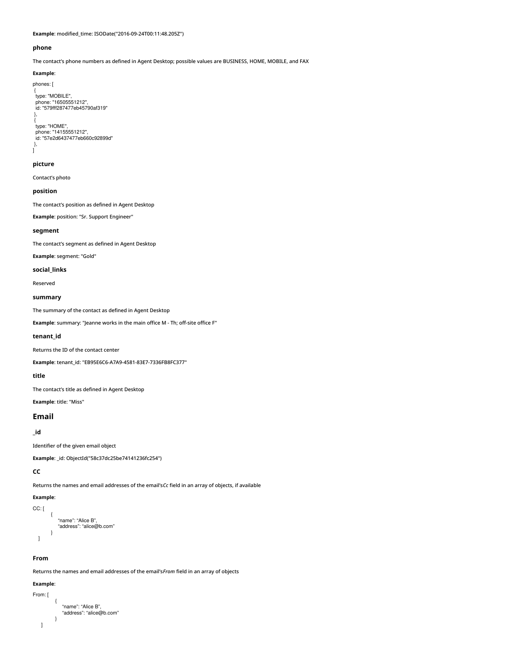**Example**: modified\_time: ISODate("2016-09-24T00:11:48.205Z")

#### <span id="page-9-0"></span>**phone**

The contact's phone numbers as defined in Agent Desktop; possible values are BUSINESS, HOME, MOBILE, and FAX

#### **Example**:

phones: [

```
{
type: "MOBILE",
phone: "16505551212",
 id: "579fff287477eb45790af319"
},
{
type: "HOME",
 phone: "14155551212",
id: "57e2d6437477eb660c92899d"
},
]
```
# <span id="page-9-1"></span>**picture**

Contact's photo

# <span id="page-9-2"></span>**position**

The contact's position as defined in Agent Desktop

**Example**: position: "Sr. Support Engineer"

### <span id="page-9-3"></span>**segment**

The contact's segment as defined in Agent Desktop

**Example**: segment: "Gold"

#### <span id="page-9-4"></span>**social\_links**

Reserved

#### <span id="page-9-5"></span>**summary**

The summary of the contact as defined in Agent Desktop

**Example**: summary: "Jeanne works in the main office M - Th; off-site office F"

## <span id="page-9-6"></span>**tenant\_id**

Returns the ID of the contact center

**Example**: tenant\_id: "EB95E6C6-A7A9-4581-83E7-7336FB8FC377"

#### <span id="page-9-7"></span>**title**

The contact's title as defined in Agent Desktop

**Example**: title: "Miss"

# <span id="page-9-8"></span>**Email**

<span id="page-9-9"></span>**\_id**

Identifier of the given email object

**Example**: \_id: ObjectId("58c37dc25be74141236fc254")

# <span id="page-9-10"></span>**CC**

Returns the names and email addresses of the email's*Cc* field in an array of objects, if available

# **Example**:

CC: [

```
{
        "name": "Alice B",
         "address": "alice@b.com"
     }
]
```
# <span id="page-9-11"></span>**From**

Returns the names and email addresses of the email's*From* field in an array of objects

```
Example:
```

```
From: [
         {
            "name": "Alice B",
            "address": "alice@b.com"
         }
   ]
```